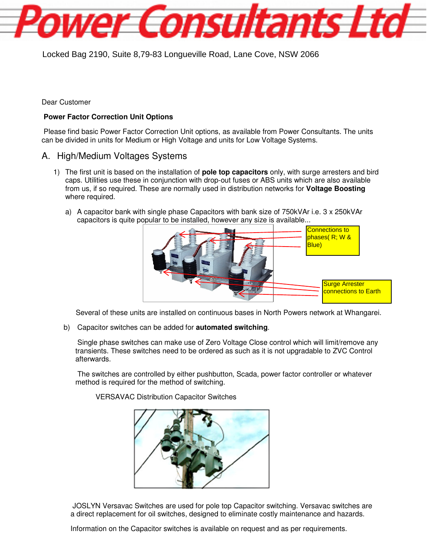Locked Bag 2190, Suite 8,79-83 Longueville Road, Lane Cove, NSW 2066

Dear Customer

## **Power Factor Correction Unit Options**

 Please find basic Power Factor Correction Unit options, as available from Power Consultants. The units can be divided in units for Medium or High Voltage and units for Low Voltage Systems.

ower Consultants Ltd

## A. High/Medium Voltages Systems

- 1) The first unit is based on the installation of **pole top capacitors** only, with surge arresters and bird caps. Utilities use these in conjunction with drop-out fuses or ABS units which are also available from us, if so required. These are normally used in distribution networks for **Voltage Boosting** where required.
	- a) A capacitor bank with single phase Capacitors with bank size of 750kVAr i.e. 3 x 250kVAr capacitors is quite popular to be installed, however any size is available...



Several of these units are installed on continuous bases in North Powers network at Whangarei.

b) Capacitor switches can be added for **automated switching**.

 Single phase switches can make use of Zero Voltage Close control which will limit/remove any transients. These switches need to be ordered as such as it is not upgradable to ZVC Control afterwards.

 The switches are controlled by either pushbutton, Scada, power factor controller or whatever method is required for the method of switching.

VERSAVAC Distribution Capacitor Switches



 JOSLYN Versavac Switches are used for pole top Capacitor switching. Versavac switches are a direct replacement for oil switches, designed to eliminate costly maintenance and hazards.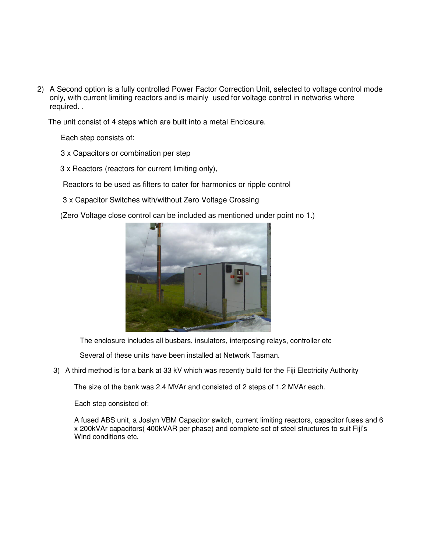2) A Second option is a fully controlled Power Factor Correction Unit, selected to voltage control mode only, with current limiting reactors and is mainly used for voltage control in networks where required. .

The unit consist of 4 steps which are built into a metal Enclosure.

Each step consists of:

- 3 x Capacitors or combination per step
- 3 x Reactors (reactors for current limiting only),

Reactors to be used as filters to cater for harmonics or ripple control

3 x Capacitor Switches with/without Zero Voltage Crossing

(Zero Voltage close control can be included as mentioned under point no 1.)



The enclosure includes all busbars, insulators, interposing relays, controller etc

Several of these units have been installed at Network Tasman.

3) A third method is for a bank at 33 kV which was recently build for the Fiji Electricity Authority

The size of the bank was 2.4 MVAr and consisted of 2 steps of 1.2 MVAr each.

Each step consisted of:

A fused ABS unit, a Joslyn VBM Capacitor switch, current limiting reactors, capacitor fuses and 6 x 200kVAr capacitors( 400kVAR per phase) and complete set of steel structures to suit Fiji's Wind conditions etc.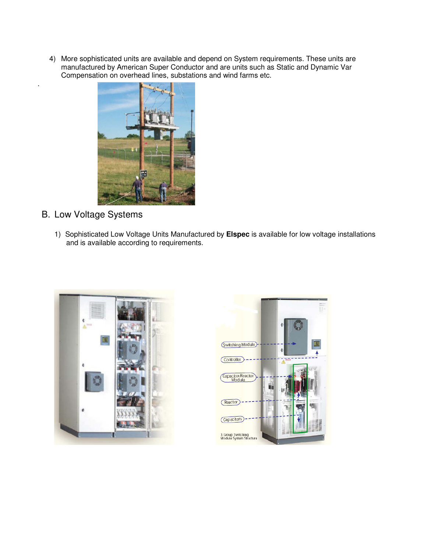4) More sophisticated units are available and depend on System requirements. These units are manufactured by American Super Conductor and are units such as Static and Dynamic Var Compensation on overhead lines, substations and wind farms etc.



B. Low Voltage Systems

.

1) Sophisticated Low Voltage Units Manufactured by **Elspec** is available for low voltage installations and is available according to requirements.